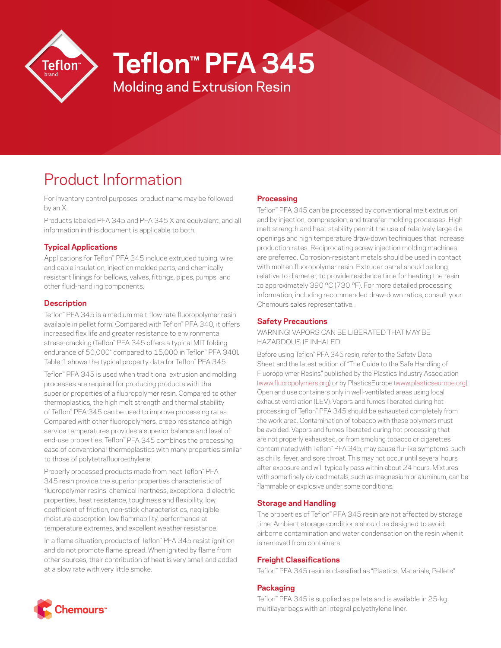

# **Teflon™ PFA 345**

Molding and Extrusion Resin

# Product Information

For inventory control purposes, product name may be followed by an X.

Products labeled PFA 345 and PFA 345 X are equivalent, and all information in this document is applicable to both.

## **Typical Applications**

Applications for Teflon™ PFA 345 include extruded tubing, wire and cable insulation, injection molded parts, and chemically resistant linings for bellows, valves, fittings, pipes, pumps, and other fluid-handling components.

## **Description**

Teflon™ PFA 345 is a medium melt flow rate fluoropolymer resin available in pellet form. Compared with Teflon™ PFA 340, it offers increased flex life and greater resistance to environmental stress-cracking (Teflon™ PFA 345 offers a typical MIT folding endurance of 50,000\* compared to 15,000 in Teflon™ PFA 340). Table 1 shows the typical property data for Teflon™ PFA 345.

Teflon™ PFA 345 is used when traditional extrusion and molding processes are required for producing products with the superior properties of a fluoropolymer resin. Compared to other thermoplastics, the high melt strength and thermal stability of Teflon™ PFA 345 can be used to improve processing rates. Compared with other fluoropolymers, creep resistance at high service temperatures provides a superior balance and level of end-use properties. Teflon™ PFA 345 combines the processing ease of conventional thermoplastics with many properties similar to those of polytetrafluoroethylene.

Properly processed products made from neat Teflon™ PFA 345 resin provide the superior properties characteristic of fluoropolymer resins: chemical inertness, exceptional dielectric properties, heat resistance, toughness and flexibility, low coefficient of friction, non-stick characteristics, negligible moisture absorption, low flammability, performance at temperature extremes, and excellent weather resistance.

In a flame situation, products of Teflon™ PFA 345 resist ignition and do not promote flame spread. When ignited by flame from other sources, their contribution of heat is very small and added at a slow rate with very little smoke.

## **Processing**

Teflon™ PFA 345 can be processed by conventional melt extrusion, and by injection, compression, and transfer molding processes. High melt strength and heat stability permit the use of relatively large die openings and high temperature draw-down techniques that increase production rates. Reciprocating screw injection molding machines are preferred. Corrosion-resistant metals should be used in contact with molten fluoropolymer resin. Extruder barrel should be long, relative to diameter, to provide residence time for heating the resin to approximately 390 °C (730 °F). For more detailed processing information, including recommended draw-down ratios, consult your Chemours sales representative.

## **Safety Precautions**

WARNING! VAPORS CAN BE LIBERATED THAT MAY BE HAZARDOUS IF INHALED.

Before using Teflon™ PFA 345 resin, refer to the Safety Data Sheet and the latest edition of "The Guide to the Safe Handling of Fluoropolymer Resins," published by the Plastics Industry Association [\(www.fluoropolymers.org](http://www.fluoropolymers.org)) or by PlasticsEurope ([www.plasticseurope.org](http://www.plasticseurope.org)). Open and use containers only in well-ventilated areas using local exhaust ventilation (LEV). Vapors and fumes liberated during hot processing of Teflon™ PFA 345 should be exhausted completely from the work area. Contamination of tobacco with these polymers must be avoided. Vapors and fumes liberated during hot processing that are not properly exhausted, or from smoking tobacco or cigarettes contaminated with Teflon™ PFA 345, may cause flu-like symptoms, such as chills, fever, and sore throat. This may not occur until several hours after exposure and will typically pass within about 24 hours. Mixtures with some finely divided metals, such as magnesium or aluminum, can be flammable or explosive under some conditions.

## **Storage and Handling**

The properties of Teflon™ PFA 345 resin are not affected by storage time. Ambient storage conditions should be designed to avoid airborne contamination and water condensation on the resin when it is removed from containers.

## **Freight Classifications**

Teflon™ PFA 345 resin is classified as "Plastics, Materials, Pellets."

## **Packaging**



Teflon™ PFA 345 is supplied as pellets and is available in 25-kg multilayer bags with an integral polyethylene liner.